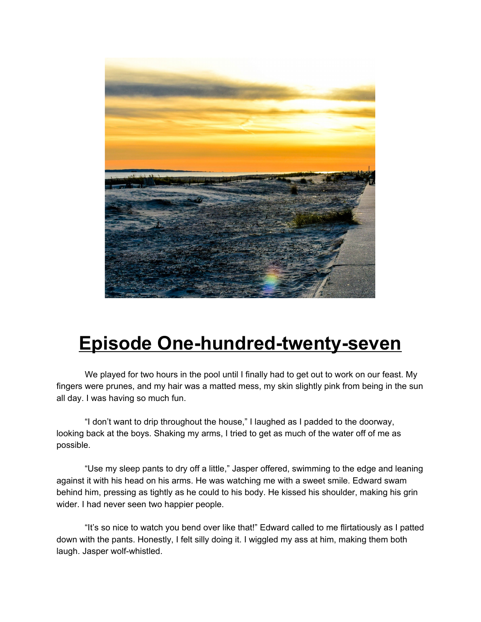

## **Episode One-hundred-twenty-seven**

We played for two hours in the pool until I finally had to get out to work on our feast. My fingers were prunes, and my hair was a matted mess, my skin slightly pink from being in the sun all day. I was having so much fun.

"I don't want to drip throughout the house," I laughed as I padded to the doorway, looking back at the boys. Shaking my arms, I tried to get as much of the water off of me as possible.

"Use my sleep pants to dry off a little," Jasper offered, swimming to the edge and leaning against it with his head on his arms. He was watching me with a sweet smile. Edward swam behind him, pressing as tightly as he could to his body. He kissed his shoulder, making his grin wider. I had never seen two happier people.

"It's so nice to watch you bend over like that!" Edward called to me flirtatiously as I patted down with the pants. Honestly, I felt silly doing it. I wiggled my ass at him, making them both laugh. Jasper wolf-whistled.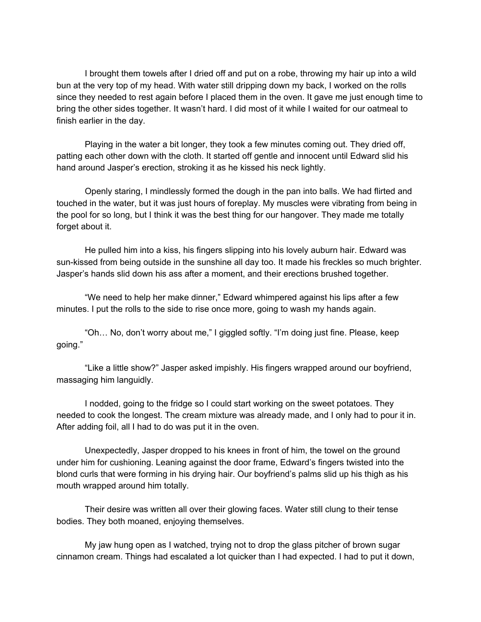I brought them towels after I dried off and put on a robe, throwing my hair up into a wild bun at the very top of my head. With water still dripping down my back, I worked on the rolls since they needed to rest again before I placed them in the oven. It gave me just enough time to bring the other sides together. It wasn't hard. I did most of it while I waited for our oatmeal to finish earlier in the day.

Playing in the water a bit longer, they took a few minutes coming out. They dried off, patting each other down with the cloth. It started off gentle and innocent until Edward slid his hand around Jasper's erection, stroking it as he kissed his neck lightly.

Openly staring, I mindlessly formed the dough in the pan into balls. We had flirted and touched in the water, but it was just hours of foreplay. My muscles were vibrating from being in the pool for so long, but I think it was the best thing for our hangover. They made me totally forget about it.

He pulled him into a kiss, his fingers slipping into his lovely auburn hair. Edward was sun-kissed from being outside in the sunshine all day too. It made his freckles so much brighter. Jasper's hands slid down his ass after a moment, and their erections brushed together.

"We need to help her make dinner," Edward whimpered against his lips after a few minutes. I put the rolls to the side to rise once more, going to wash my hands again.

"Oh… No, don't worry about me," I giggled softly. "I'm doing just fine. Please, keep going."

"Like a little show?" Jasper asked impishly. His fingers wrapped around our boyfriend, massaging him languidly.

I nodded, going to the fridge so I could start working on the sweet potatoes. They needed to cook the longest. The cream mixture was already made, and I only had to pour it in. After adding foil, all I had to do was put it in the oven.

Unexpectedly, Jasper dropped to his knees in front of him, the towel on the ground under him for cushioning. Leaning against the door frame, Edward's fingers twisted into the blond curls that were forming in his drying hair. Our boyfriend's palms slid up his thigh as his mouth wrapped around him totally.

Their desire was written all over their glowing faces. Water still clung to their tense bodies. They both moaned, enjoying themselves.

My jaw hung open as I watched, trying not to drop the glass pitcher of brown sugar cinnamon cream. Things had escalated a lot quicker than I had expected. I had to put it down,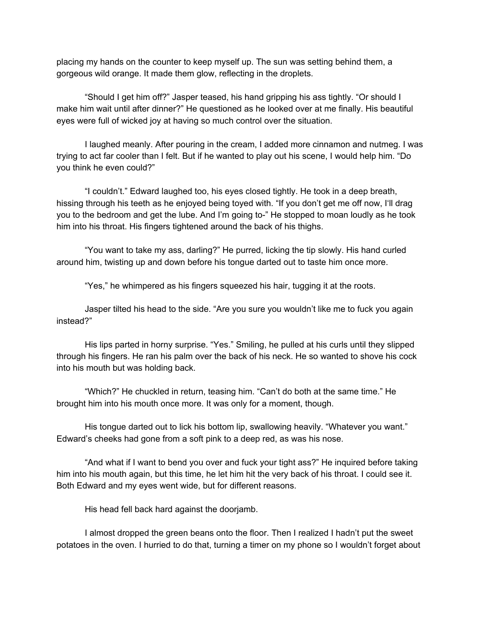placing my hands on the counter to keep myself up. The sun was setting behind them, a gorgeous wild orange. It made them glow, reflecting in the droplets.

"Should I get him off?" Jasper teased, his hand gripping his ass tightly. "Or should I make him wait until after dinner?" He questioned as he looked over at me finally. His beautiful eyes were full of wicked joy at having so much control over the situation.

I laughed meanly. After pouring in the cream, I added more cinnamon and nutmeg. I was trying to act far cooler than I felt. But if he wanted to play out his scene, I would help him. "Do you think he even could?"

"I couldn't." Edward laughed too, his eyes closed tightly. He took in a deep breath, hissing through his teeth as he enjoyed being toyed with. "If you don't get me off now, I'll drag you to the bedroom and get the lube. And I'm going to-" He stopped to moan loudly as he took him into his throat. His fingers tightened around the back of his thighs.

"You want to take my ass, darling?" He purred, licking the tip slowly. His hand curled around him, twisting up and down before his tongue darted out to taste him once more.

"Yes," he whimpered as his fingers squeezed his hair, tugging it at the roots.

Jasper tilted his head to the side. "Are you sure you wouldn't like me to fuck you again instead?"

His lips parted in horny surprise. "Yes." Smiling, he pulled at his curls until they slipped through his fingers. He ran his palm over the back of his neck. He so wanted to shove his cock into his mouth but was holding back.

"Which?" He chuckled in return, teasing him. "Can't do both at the same time." He brought him into his mouth once more. It was only for a moment, though.

His tongue darted out to lick his bottom lip, swallowing heavily. "Whatever you want." Edward's cheeks had gone from a soft pink to a deep red, as was his nose.

"And what if I want to bend you over and fuck your tight ass?" He inquired before taking him into his mouth again, but this time, he let him hit the very back of his throat. I could see it. Both Edward and my eyes went wide, but for different reasons.

His head fell back hard against the doorjamb.

I almost dropped the green beans onto the floor. Then I realized I hadn't put the sweet potatoes in the oven. I hurried to do that, turning a timer on my phone so I wouldn't forget about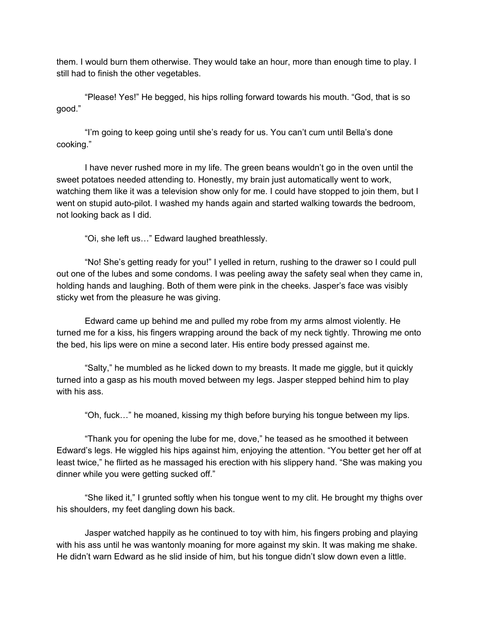them. I would burn them otherwise. They would take an hour, more than enough time to play. I still had to finish the other vegetables.

"Please! Yes!" He begged, his hips rolling forward towards his mouth. "God, that is so good."

"I'm going to keep going until she's ready for us. You can't cum until Bella's done cooking."

I have never rushed more in my life. The green beans wouldn't go in the oven until the sweet potatoes needed attending to. Honestly, my brain just automatically went to work, watching them like it was a television show only for me. I could have stopped to join them, but I went on stupid auto-pilot. I washed my hands again and started walking towards the bedroom, not looking back as I did.

"Oi, she left us…" Edward laughed breathlessly.

"No! She's getting ready for you!" I yelled in return, rushing to the drawer so I could pull out one of the lubes and some condoms. I was peeling away the safety seal when they came in, holding hands and laughing. Both of them were pink in the cheeks. Jasper's face was visibly sticky wet from the pleasure he was giving.

Edward came up behind me and pulled my robe from my arms almost violently. He turned me for a kiss, his fingers wrapping around the back of my neck tightly. Throwing me onto the bed, his lips were on mine a second later. His entire body pressed against me.

"Salty," he mumbled as he licked down to my breasts. It made me giggle, but it quickly turned into a gasp as his mouth moved between my legs. Jasper stepped behind him to play with his ass.

"Oh, fuck…" he moaned, kissing my thigh before burying his tongue between my lips.

"Thank you for opening the lube for me, dove," he teased as he smoothed it between Edward's legs. He wiggled his hips against him, enjoying the attention. "You better get her off at least twice," he flirted as he massaged his erection with his slippery hand. "She was making you dinner while you were getting sucked off."

"She liked it," I grunted softly when his tongue went to my clit. He brought my thighs over his shoulders, my feet dangling down his back.

Jasper watched happily as he continued to toy with him, his fingers probing and playing with his ass until he was wantonly moaning for more against my skin. It was making me shake. He didn't warn Edward as he slid inside of him, but his tongue didn't slow down even a little.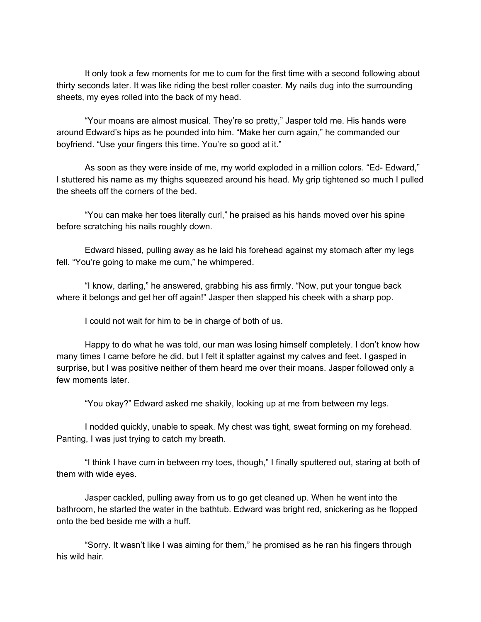It only took a few moments for me to cum for the first time with a second following about thirty seconds later. It was like riding the best roller coaster. My nails dug into the surrounding sheets, my eyes rolled into the back of my head.

"Your moans are almost musical. They're so pretty," Jasper told me. His hands were around Edward's hips as he pounded into him. "Make her cum again," he commanded our boyfriend. "Use your fingers this time. You're so good at it."

As soon as they were inside of me, my world exploded in a million colors. "Ed- Edward," I stuttered his name as my thighs squeezed around his head. My grip tightened so much I pulled the sheets off the corners of the bed.

"You can make her toes literally curl," he praised as his hands moved over his spine before scratching his nails roughly down.

Edward hissed, pulling away as he laid his forehead against my stomach after my legs fell. "You're going to make me cum," he whimpered.

"I know, darling," he answered, grabbing his ass firmly. "Now, put your tongue back where it belongs and get her off again!" Jasper then slapped his cheek with a sharp pop.

I could not wait for him to be in charge of both of us.

Happy to do what he was told, our man was losing himself completely. I don't know how many times I came before he did, but I felt it splatter against my calves and feet. I gasped in surprise, but I was positive neither of them heard me over their moans. Jasper followed only a few moments later.

"You okay?" Edward asked me shakily, looking up at me from between my legs.

I nodded quickly, unable to speak. My chest was tight, sweat forming on my forehead. Panting, I was just trying to catch my breath.

"I think I have cum in between my toes, though," I finally sputtered out, staring at both of them with wide eyes.

Jasper cackled, pulling away from us to go get cleaned up. When he went into the bathroom, he started the water in the bathtub. Edward was bright red, snickering as he flopped onto the bed beside me with a huff.

"Sorry. It wasn't like I was aiming for them," he promised as he ran his fingers through his wild hair.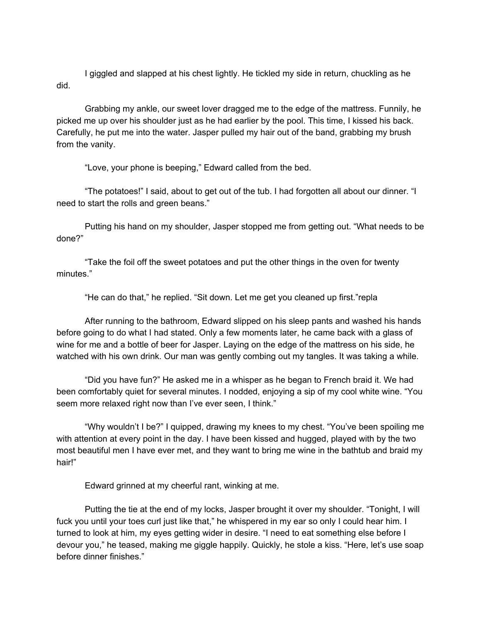I giggled and slapped at his chest lightly. He tickled my side in return, chuckling as he did.

Grabbing my ankle, our sweet lover dragged me to the edge of the mattress. Funnily, he picked me up over his shoulder just as he had earlier by the pool. This time, I kissed his back. Carefully, he put me into the water. Jasper pulled my hair out of the band, grabbing my brush from the vanity.

"Love, your phone is beeping," Edward called from the bed.

"The potatoes!" I said, about to get out of the tub. I had forgotten all about our dinner. "I need to start the rolls and green beans."

Putting his hand on my shoulder, Jasper stopped me from getting out. "What needs to be done?"

"Take the foil off the sweet potatoes and put the other things in the oven for twenty minutes."

"He can do that," he replied. "Sit down. Let me get you cleaned up first."repla

After running to the bathroom, Edward slipped on his sleep pants and washed his hands before going to do what I had stated. Only a few moments later, he came back with a glass of wine for me and a bottle of beer for Jasper. Laying on the edge of the mattress on his side, he watched with his own drink. Our man was gently combing out my tangles. It was taking a while.

"Did you have fun?" He asked me in a whisper as he began to French braid it. We had been comfortably quiet for several minutes. I nodded, enjoying a sip of my cool white wine. "You seem more relaxed right now than I've ever seen, I think."

"Why wouldn't I be?" I quipped, drawing my knees to my chest. "You've been spoiling me with attention at every point in the day. I have been kissed and hugged, played with by the two most beautiful men I have ever met, and they want to bring me wine in the bathtub and braid my hair!"

Edward grinned at my cheerful rant, winking at me.

Putting the tie at the end of my locks, Jasper brought it over my shoulder. "Tonight, I will fuck you until your toes curl just like that," he whispered in my ear so only I could hear him. I turned to look at him, my eyes getting wider in desire. "I need to eat something else before I devour you," he teased, making me giggle happily. Quickly, he stole a kiss. "Here, let's use soap before dinner finishes."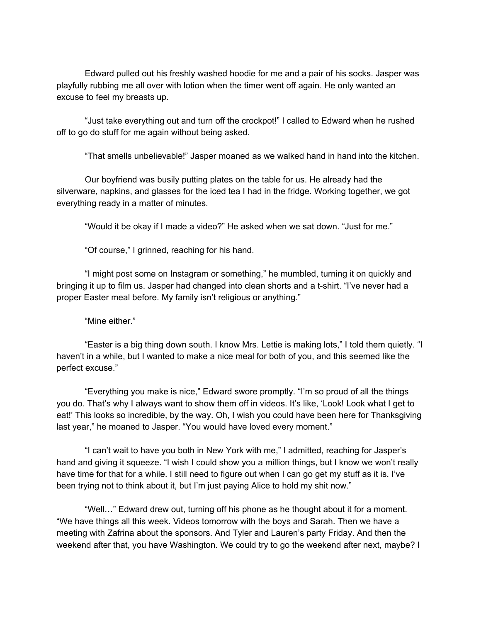Edward pulled out his freshly washed hoodie for me and a pair of his socks. Jasper was playfully rubbing me all over with lotion when the timer went off again. He only wanted an excuse to feel my breasts up.

"Just take everything out and turn off the crockpot!" I called to Edward when he rushed off to go do stuff for me again without being asked.

"That smells unbelievable!" Jasper moaned as we walked hand in hand into the kitchen.

Our boyfriend was busily putting plates on the table for us. He already had the silverware, napkins, and glasses for the iced tea I had in the fridge. Working together, we got everything ready in a matter of minutes.

"Would it be okay if I made a video?" He asked when we sat down. "Just for me."

"Of course," I grinned, reaching for his hand.

"I might post some on Instagram or something," he mumbled, turning it on quickly and bringing it up to film us. Jasper had changed into clean shorts and a t-shirt. "I've never had a proper Easter meal before. My family isn't religious or anything."

"Mine either."

"Easter is a big thing down south. I know Mrs. Lettie is making lots," I told them quietly. "I haven't in a while, but I wanted to make a nice meal for both of you, and this seemed like the perfect excuse."

"Everything you make is nice," Edward swore promptly. "I'm so proud of all the things you do. That's why I always want to show them off in videos. It's like, 'Look! Look what I get to eat!' This looks so incredible, by the way. Oh, I wish you could have been here for Thanksgiving last year," he moaned to Jasper. "You would have loved every moment."

"I can't wait to have you both in New York with me," I admitted, reaching for Jasper's hand and giving it squeeze. "I wish I could show you a million things, but I know we won't really have time for that for a while. I still need to figure out when I can go get my stuff as it is. I've been trying not to think about it, but I'm just paying Alice to hold my shit now."

"Well…" Edward drew out, turning off his phone as he thought about it for a moment. "We have things all this week. Videos tomorrow with the boys and Sarah. Then we have a meeting with Zafrina about the sponsors. And Tyler and Lauren's party Friday. And then the weekend after that, you have Washington. We could try to go the weekend after next, maybe? I